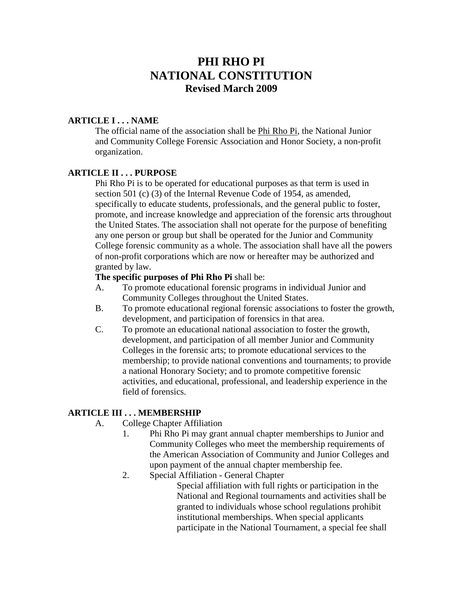# **PHI RHO PI NATIONAL CONSTITUTION Revised March 2009**

### **ARTICLE I . . . NAME**

The official name of the association shall be Phi Rho Pi, the National Junior and Community College Forensic Association and Honor Society, a non-profit organization.

#### **ARTICLE II . . . PURPOSE**

Phi Rho Pi is to be operated for educational purposes as that term is used in section 501 (c) (3) of the Internal Revenue Code of 1954, as amended, specifically to educate students, professionals, and the general public to foster, promote, and increase knowledge and appreciation of the forensic arts throughout the United States. The association shall not operate for the purpose of benefiting any one person or group but shall be operated for the Junior and Community College forensic community as a whole. The association shall have all the powers of non-profit corporations which are now or hereafter may be authorized and granted by law.

#### **The specific purposes of Phi Rho Pi** shall be:

- A. To promote educational forensic programs in individual Junior and Community Colleges throughout the United States.
- B. To promote educational regional forensic associations to foster the growth, development, and participation of forensics in that area.
- C. To promote an educational national association to foster the growth, development, and participation of all member Junior and Community Colleges in the forensic arts; to promote educational services to the membership; to provide national conventions and tournaments; to provide a national Honorary Society; and to promote competitive forensic activities, and educational, professional, and leadership experience in the field of forensics.

#### **ARTICLE III . . . MEMBERSHIP**

- A. College Chapter Affiliation
	- 1. Phi Rho Pi may grant annual chapter memberships to Junior and Community Colleges who meet the membership requirements of the American Association of Community and Junior Colleges and upon payment of the annual chapter membership fee.
	- 2. Special Affiliation General Chapter

Special affiliation with full rights or participation in the National and Regional tournaments and activities shall be granted to individuals whose school regulations prohibit institutional memberships. When special applicants participate in the National Tournament, a special fee shall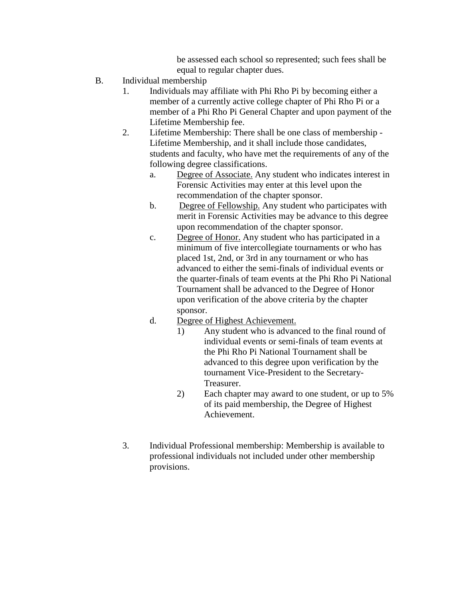be assessed each school so represented; such fees shall be equal to regular chapter dues.

- B. Individual membership
	- 1. Individuals may affiliate with Phi Rho Pi by becoming either a member of a currently active college chapter of Phi Rho Pi or a member of a Phi Rho Pi General Chapter and upon payment of the Lifetime Membership fee.
	- 2. Lifetime Membership: There shall be one class of membership Lifetime Membership, and it shall include those candidates, students and faculty, who have met the requirements of any of the following degree classifications.
		- a. Degree of Associate. Any student who indicates interest in Forensic Activities may enter at this level upon the recommendation of the chapter sponsor.
		- b. Degree of Fellowship. Any student who participates with merit in Forensic Activities may be advance to this degree upon recommendation of the chapter sponsor.
		- c. Degree of Honor. Any student who has participated in a minimum of five intercollegiate tournaments or who has placed 1st, 2nd, or 3rd in any tournament or who has advanced to either the semi-finals of individual events or the quarter-finals of team events at the Phi Rho Pi National Tournament shall be advanced to the Degree of Honor upon verification of the above criteria by the chapter sponsor.
		- d. Degree of Highest Achievement.
			- 1) Any student who is advanced to the final round of individual events or semi-finals of team events at the Phi Rho Pi National Tournament shall be advanced to this degree upon verification by the tournament Vice-President to the Secretary-Treasurer.
			- 2) Each chapter may award to one student, or up to 5% of its paid membership, the Degree of Highest Achievement.
	- 3. Individual Professional membership: Membership is available to professional individuals not included under other membership provisions.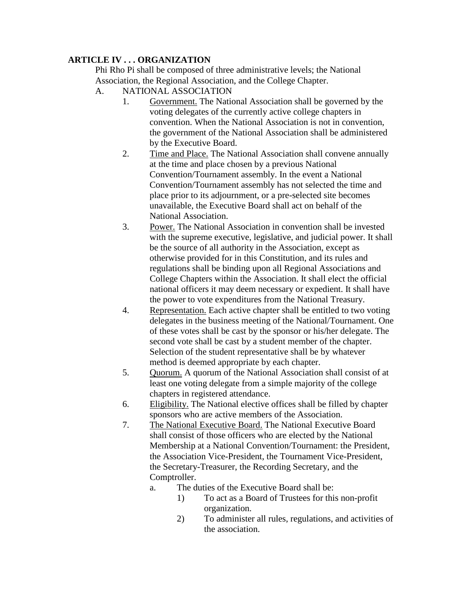## **ARTICLE IV . . . ORGANIZATION**

Phi Rho Pi shall be composed of three administrative levels; the National Association, the Regional Association, and the College Chapter.

- A. NATIONAL ASSOCIATION
	- 1. Government. The National Association shall be governed by the voting delegates of the currently active college chapters in convention. When the National Association is not in convention, the government of the National Association shall be administered by the Executive Board.
	- 2. Time and Place. The National Association shall convene annually at the time and place chosen by a previous National Convention/Tournament assembly. In the event a National Convention/Tournament assembly has not selected the time and place prior to its adjournment, or a pre-selected site becomes unavailable, the Executive Board shall act on behalf of the National Association.
	- 3. Power. The National Association in convention shall be invested with the supreme executive, legislative, and judicial power. It shall be the source of all authority in the Association, except as otherwise provided for in this Constitution, and its rules and regulations shall be binding upon all Regional Associations and College Chapters within the Association. It shall elect the official national officers it may deem necessary or expedient. It shall have the power to vote expenditures from the National Treasury.
	- 4. Representation. Each active chapter shall be entitled to two voting delegates in the business meeting of the National/Tournament. One of these votes shall be cast by the sponsor or his/her delegate. The second vote shall be cast by a student member of the chapter. Selection of the student representative shall be by whatever method is deemed appropriate by each chapter.
	- 5. Quorum. A quorum of the National Association shall consist of at least one voting delegate from a simple majority of the college chapters in registered attendance.
	- 6. Eligibility. The National elective offices shall be filled by chapter sponsors who are active members of the Association.
	- 7. The National Executive Board. The National Executive Board shall consist of those officers who are elected by the National Membership at a National Convention/Tournament: the President, the Association Vice-President, the Tournament Vice-President, the Secretary-Treasurer, the Recording Secretary, and the Comptroller.
		- a. The duties of the Executive Board shall be:
			- 1) To act as a Board of Trustees for this non-profit organization.
			- 2) To administer all rules, regulations, and activities of the association.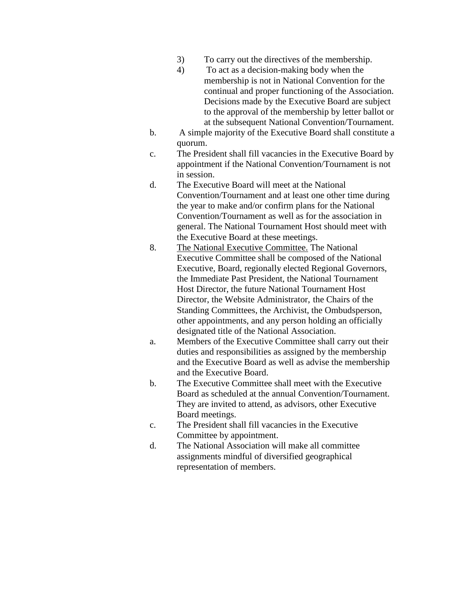- 3) To carry out the directives of the membership.
- 4) To act as a decision-making body when the membership is not in National Convention for the continual and proper functioning of the Association. Decisions made by the Executive Board are subject to the approval of the membership by letter ballot or at the subsequent National Convention/Tournament.
- b. A simple majority of the Executive Board shall constitute a quorum.
- c. The President shall fill vacancies in the Executive Board by appointment if the National Convention/Tournament is not in session.
- d. The Executive Board will meet at the National Convention/Tournament and at least one other time during the year to make and/or confirm plans for the National Convention/Tournament as well as for the association in general. The National Tournament Host should meet with the Executive Board at these meetings.
- 8. The National Executive Committee. The National Executive Committee shall be composed of the National Executive, Board, regionally elected Regional Governors, the Immediate Past President, the National Tournament Host Director, the future National Tournament Host Director, the Website Administrator, the Chairs of the Standing Committees, the Archivist, the Ombudsperson, other appointments, and any person holding an officially designated title of the National Association.
- a. Members of the Executive Committee shall carry out their duties and responsibilities as assigned by the membership and the Executive Board as well as advise the membership and the Executive Board.
- b. The Executive Committee shall meet with the Executive Board as scheduled at the annual Convention/Tournament. They are invited to attend, as advisors, other Executive Board meetings.
- c. The President shall fill vacancies in the Executive Committee by appointment.
- d. The National Association will make all committee assignments mindful of diversified geographical representation of members.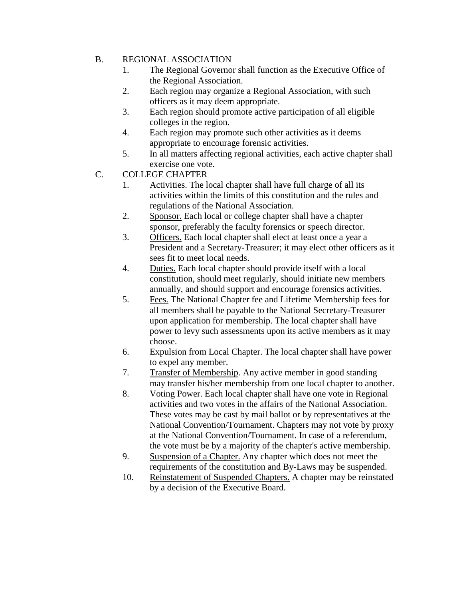## B. REGIONAL ASSOCIATION

- 1. The Regional Governor shall function as the Executive Office of the Regional Association.
- 2. Each region may organize a Regional Association, with such officers as it may deem appropriate.
- 3. Each region should promote active participation of all eligible colleges in the region.
- 4. Each region may promote such other activities as it deems appropriate to encourage forensic activities.
- 5. In all matters affecting regional activities, each active chapter shall exercise one vote.
- C. COLLEGE CHAPTER
	- 1. Activities. The local chapter shall have full charge of all its activities within the limits of this constitution and the rules and regulations of the National Association.
	- 2. Sponsor. Each local or college chapter shall have a chapter sponsor, preferably the faculty forensics or speech director.
	- 3. Officers. Each local chapter shall elect at least once a year a President and a Secretary-Treasurer; it may elect other officers as it sees fit to meet local needs.
	- 4. Duties. Each local chapter should provide itself with a local constitution, should meet regularly, should initiate new members annually, and should support and encourage forensics activities.
	- 5. Fees. The National Chapter fee and Lifetime Membership fees for all members shall be payable to the National Secretary-Treasurer upon application for membership. The local chapter shall have power to levy such assessments upon its active members as it may choose.
	- 6. Expulsion from Local Chapter. The local chapter shall have power to expel any member.
	- 7. Transfer of Membership. Any active member in good standing may transfer his/her membership from one local chapter to another.
	- 8. Voting Power. Each local chapter shall have one vote in Regional activities and two votes in the affairs of the National Association. These votes may be cast by mail ballot or by representatives at the National Convention/Tournament. Chapters may not vote by proxy at the National Convention/Tournament. In case of a referendum, the vote must be by a majority of the chapter's active membership.
	- 9. Suspension of a Chapter. Any chapter which does not meet the requirements of the constitution and By-Laws may be suspended.
	- 10. Reinstatement of Suspended Chapters. A chapter may be reinstated by a decision of the Executive Board.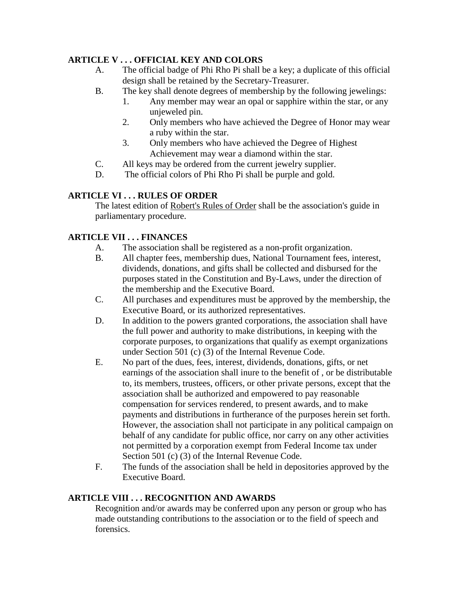## **ARTICLE V . . . OFFICIAL KEY AND COLORS**

- A. The official badge of Phi Rho Pi shall be a key; a duplicate of this official design shall be retained by the Secretary-Treasurer.
- B. The key shall denote degrees of membership by the following jewelings:
	- 1. Any member may wear an opal or sapphire within the star, or any unjeweled pin.
	- 2. Only members who have achieved the Degree of Honor may wear a ruby within the star.
	- 3. Only members who have achieved the Degree of Highest Achievement may wear a diamond within the star.
- C. All keys may be ordered from the current jewelry supplier.
- D. The official colors of Phi Rho Pi shall be purple and gold.

# **ARTICLE VI . . . RULES OF ORDER**

The latest edition of Robert's Rules of Order shall be the association's guide in parliamentary procedure.

# **ARTICLE VII . . . FINANCES**

- A. The association shall be registered as a non-profit organization.
- B. All chapter fees, membership dues, National Tournament fees, interest, dividends, donations, and gifts shall be collected and disbursed for the purposes stated in the Constitution and By-Laws, under the direction of the membership and the Executive Board.
- C. All purchases and expenditures must be approved by the membership, the Executive Board, or its authorized representatives.
- D. In addition to the powers granted corporations, the association shall have the full power and authority to make distributions, in keeping with the corporate purposes, to organizations that qualify as exempt organizations under Section 501 (c) (3) of the Internal Revenue Code.
- E. No part of the dues, fees, interest, dividends, donations, gifts, or net earnings of the association shall inure to the benefit of , or be distributable to, its members, trustees, officers, or other private persons, except that the association shall be authorized and empowered to pay reasonable compensation for services rendered, to present awards, and to make payments and distributions in furtherance of the purposes herein set forth. However, the association shall not participate in any political campaign on behalf of any candidate for public office, nor carry on any other activities not permitted by a corporation exempt from Federal Income tax under Section 501 (c) (3) of the Internal Revenue Code.
- F. The funds of the association shall be held in depositories approved by the Executive Board.

### **ARTICLE VIII . . . RECOGNITION AND AWARDS**

Recognition and/or awards may be conferred upon any person or group who has made outstanding contributions to the association or to the field of speech and forensics.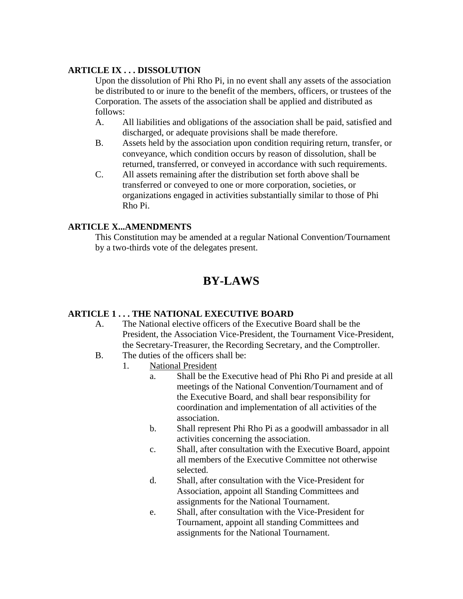### **ARTICLE IX . . . DISSOLUTION**

Upon the dissolution of Phi Rho Pi, in no event shall any assets of the association be distributed to or inure to the benefit of the members, officers, or trustees of the Corporation. The assets of the association shall be applied and distributed as follows:

- A. All liabilities and obligations of the association shall be paid, satisfied and discharged, or adequate provisions shall be made therefore.
- B. Assets held by the association upon condition requiring return, transfer, or conveyance, which condition occurs by reason of dissolution, shall be returned, transferred, or conveyed in accordance with such requirements.
- C. All assets remaining after the distribution set forth above shall be transferred or conveyed to one or more corporation, societies, or organizations engaged in activities substantially similar to those of Phi Rho Pi.

#### **ARTICLE X...AMENDMENTS**

This Constitution may be amended at a regular National Convention/Tournament by a two-thirds vote of the delegates present.

# **BY-LAWS**

## **ARTICLE 1 . . . THE NATIONAL EXECUTIVE BOARD**

- A. The National elective officers of the Executive Board shall be the President, the Association Vice-President, the Tournament Vice-President, the Secretary-Treasurer, the Recording Secretary, and the Comptroller.
- B. The duties of the officers shall be:
	- 1. National President
		- a. Shall be the Executive head of Phi Rho Pi and preside at all meetings of the National Convention/Tournament and of the Executive Board, and shall bear responsibility for coordination and implementation of all activities of the association.
		- b. Shall represent Phi Rho Pi as a goodwill ambassador in all activities concerning the association.
		- c. Shall, after consultation with the Executive Board, appoint all members of the Executive Committee not otherwise selected.
		- d. Shall, after consultation with the Vice-President for Association, appoint all Standing Committees and assignments for the National Tournament.
		- e. Shall, after consultation with the Vice-President for Tournament, appoint all standing Committees and assignments for the National Tournament.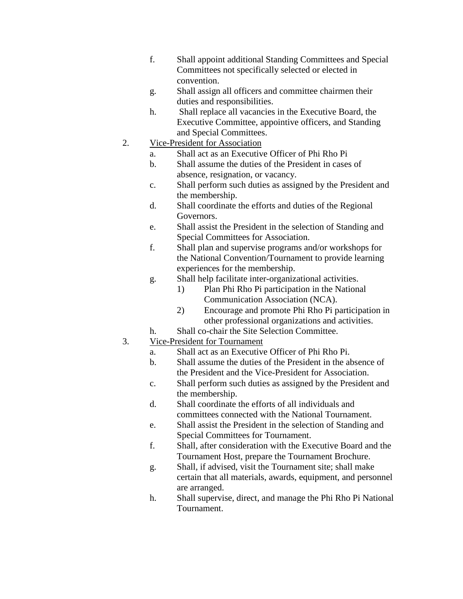- f. Shall appoint additional Standing Committees and Special Committees not specifically selected or elected in convention.
- g. Shall assign all officers and committee chairmen their duties and responsibilities.
- h. Shall replace all vacancies in the Executive Board, the Executive Committee, appointive officers, and Standing and Special Committees.
- 2. Vice-President for Association
	- a. Shall act as an Executive Officer of Phi Rho Pi
	- b. Shall assume the duties of the President in cases of absence, resignation, or vacancy.
	- c. Shall perform such duties as assigned by the President and the membership.
	- d. Shall coordinate the efforts and duties of the Regional Governors.
	- e. Shall assist the President in the selection of Standing and Special Committees for Association.
	- f. Shall plan and supervise programs and/or workshops for the National Convention/Tournament to provide learning experiences for the membership.
	- g. Shall help facilitate inter-organizational activities.
		- 1) Plan Phi Rho Pi participation in the National Communication Association (NCA).
		- 2) Encourage and promote Phi Rho Pi participation in other professional organizations and activities.
	- h. Shall co-chair the Site Selection Committee.
- 3. Vice-President for Tournament
	- a. Shall act as an Executive Officer of Phi Rho Pi.
	- b. Shall assume the duties of the President in the absence of the President and the Vice-President for Association.
	- c. Shall perform such duties as assigned by the President and the membership.
	- d. Shall coordinate the efforts of all individuals and committees connected with the National Tournament.
	- e. Shall assist the President in the selection of Standing and Special Committees for Tournament.
	- f. Shall, after consideration with the Executive Board and the Tournament Host, prepare the Tournament Brochure.
	- g. Shall, if advised, visit the Tournament site; shall make certain that all materials, awards, equipment, and personnel are arranged.
	- h. Shall supervise, direct, and manage the Phi Rho Pi National Tournament.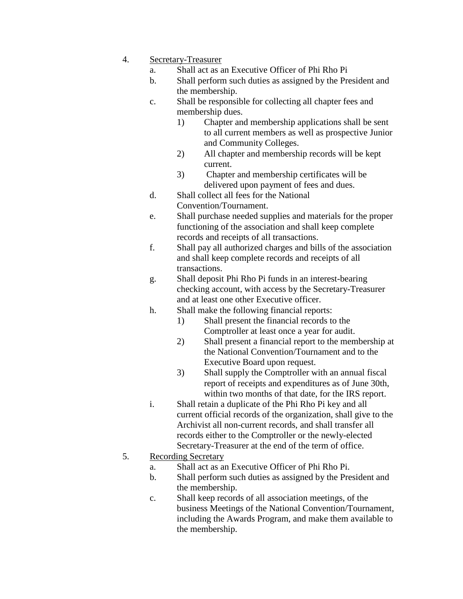- 4. Secretary-Treasurer
	- a. Shall act as an Executive Officer of Phi Rho Pi
	- b. Shall perform such duties as assigned by the President and the membership.
	- c. Shall be responsible for collecting all chapter fees and membership dues.
		- 1) Chapter and membership applications shall be sent to all current members as well as prospective Junior and Community Colleges.
		- 2) All chapter and membership records will be kept current.
		- 3) Chapter and membership certificates will be delivered upon payment of fees and dues.
	- d. Shall collect all fees for the National Convention/Tournament.
	- e. Shall purchase needed supplies and materials for the proper functioning of the association and shall keep complete records and receipts of all transactions.
	- f. Shall pay all authorized charges and bills of the association and shall keep complete records and receipts of all transactions.
	- g. Shall deposit Phi Rho Pi funds in an interest-bearing checking account, with access by the Secretary-Treasurer and at least one other Executive officer.
	- h. Shall make the following financial reports:
		- 1) Shall present the financial records to the Comptroller at least once a year for audit.
		- 2) Shall present a financial report to the membership at the National Convention/Tournament and to the Executive Board upon request.
		- 3) Shall supply the Comptroller with an annual fiscal report of receipts and expenditures as of June 30th, within two months of that date, for the IRS report.
	- i. Shall retain a duplicate of the Phi Rho Pi key and all current official records of the organization, shall give to the Archivist all non-current records, and shall transfer all records either to the Comptroller or the newly-elected Secretary-Treasurer at the end of the term of office.
- 5. Recording Secretary
	- a. Shall act as an Executive Officer of Phi Rho Pi.
	- b. Shall perform such duties as assigned by the President and the membership.
	- c. Shall keep records of all association meetings, of the business Meetings of the National Convention/Tournament, including the Awards Program, and make them available to the membership.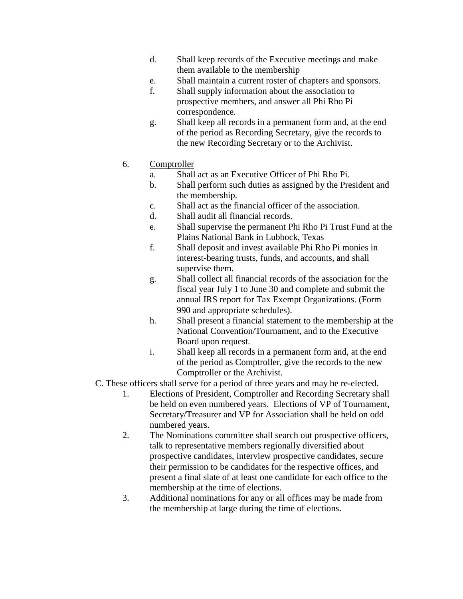- d. Shall keep records of the Executive meetings and make them available to the membership
- e. Shall maintain a current roster of chapters and sponsors.
- f. Shall supply information about the association to prospective members, and answer all Phi Rho Pi correspondence.
- g. Shall keep all records in a permanent form and, at the end of the period as Recording Secretary, give the records to the new Recording Secretary or to the Archivist.
- 6. Comptroller
	- a. Shall act as an Executive Officer of Phi Rho Pi.
	- b. Shall perform such duties as assigned by the President and the membership.
	- c. Shall act as the financial officer of the association.
	- d. Shall audit all financial records.
	- e. Shall supervise the permanent Phi Rho Pi Trust Fund at the Plains National Bank in Lubbock, Texas
	- f. Shall deposit and invest available Phi Rho Pi monies in interest-bearing trusts, funds, and accounts, and shall supervise them.
	- g. Shall collect all financial records of the association for the fiscal year July 1 to June 30 and complete and submit the annual IRS report for Tax Exempt Organizations. (Form 990 and appropriate schedules).
	- h. Shall present a financial statement to the membership at the National Convention/Tournament, and to the Executive Board upon request.
	- i. Shall keep all records in a permanent form and, at the end of the period as Comptroller, give the records to the new Comptroller or the Archivist.
- C. These officers shall serve for a period of three years and may be re-elected.
	- 1. Elections of President, Comptroller and Recording Secretary shall be held on even numbered years. Elections of VP of Tournament, Secretary/Treasurer and VP for Association shall be held on odd numbered years.
	- 2. The Nominations committee shall search out prospective officers, talk to representative members regionally diversified about prospective candidates, interview prospective candidates, secure their permission to be candidates for the respective offices, and present a final slate of at least one candidate for each office to the membership at the time of elections.
	- 3. Additional nominations for any or all offices may be made from the membership at large during the time of elections.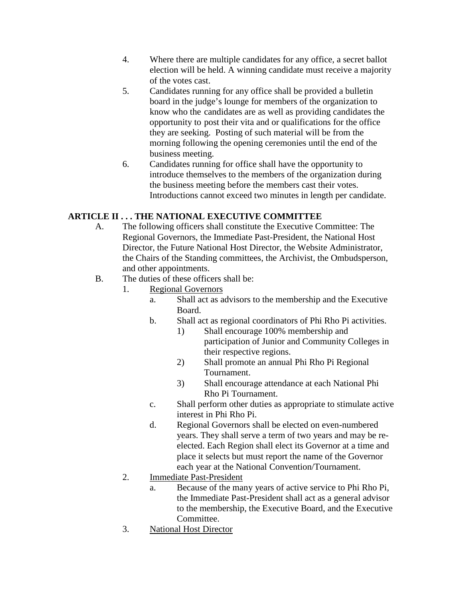- 4. Where there are multiple candidates for any office, a secret ballot election will be held. A winning candidate must receive a majority of the votes cast.
- 5. Candidates running for any office shall be provided a bulletin board in the judge's lounge for members of the organization to know who the candidates are as well as providing candidates the opportunity to post their vita and or qualifications for the office they are seeking. Posting of such material will be from the morning following the opening ceremonies until the end of the business meeting.
- 6. Candidates running for office shall have the opportunity to introduce themselves to the members of the organization during the business meeting before the members cast their votes. Introductions cannot exceed two minutes in length per candidate.

# **ARTICLE II . . . THE NATIONAL EXECUTIVE COMMITTEE**

- A. The following officers shall constitute the Executive Committee: The Regional Governors, the Immediate Past-President, the National Host Director, the Future National Host Director, the Website Administrator, the Chairs of the Standing committees, the Archivist, the Ombudsperson, and other appointments.
- B. The duties of these officers shall be:
	- 1. Regional Governors
		- a. Shall act as advisors to the membership and the Executive Board.
		- b. Shall act as regional coordinators of Phi Rho Pi activities.
			- 1) Shall encourage 100% membership and participation of Junior and Community Colleges in their respective regions.
			- 2) Shall promote an annual Phi Rho Pi Regional Tournament.
			- 3) Shall encourage attendance at each National Phi Rho Pi Tournament.
		- c. Shall perform other duties as appropriate to stimulate active interest in Phi Rho Pi.
		- d. Regional Governors shall be elected on even-numbered years. They shall serve a term of two years and may be reelected. Each Region shall elect its Governor at a time and place it selects but must report the name of the Governor each year at the National Convention/Tournament.
	- 2. Immediate Past-President
		- a. Because of the many years of active service to Phi Rho Pi, the Immediate Past-President shall act as a general advisor to the membership, the Executive Board, and the Executive Committee.
	- 3. National Host Director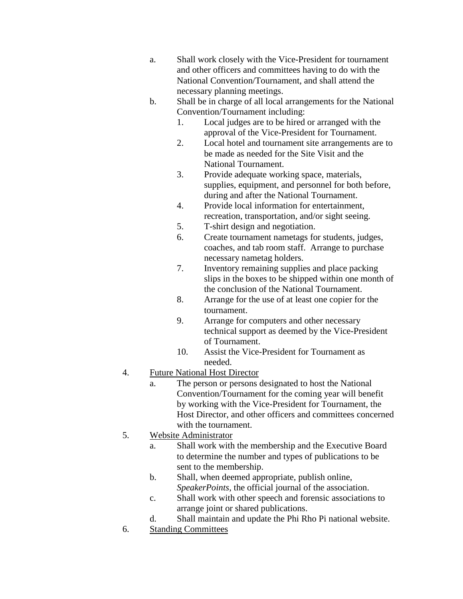- a. Shall work closely with the Vice-President for tournament and other officers and committees having to do with the National Convention/Tournament, and shall attend the necessary planning meetings.
- b. Shall be in charge of all local arrangements for the National Convention/Tournament including:
	- 1. Local judges are to be hired or arranged with the approval of the Vice-President for Tournament.
	- 2. Local hotel and tournament site arrangements are to be made as needed for the Site Visit and the National Tournament.
	- 3. Provide adequate working space, materials, supplies, equipment, and personnel for both before, during and after the National Tournament.
	- 4. Provide local information for entertainment, recreation, transportation, and/or sight seeing.
	- 5. T-shirt design and negotiation.
	- 6. Create tournament nametags for students, judges, coaches, and tab room staff. Arrange to purchase necessary nametag holders.
	- 7. Inventory remaining supplies and place packing slips in the boxes to be shipped within one month of the conclusion of the National Tournament.
	- 8. Arrange for the use of at least one copier for the tournament.
	- 9. Arrange for computers and other necessary technical support as deemed by the Vice-President of Tournament.
	- 10. Assist the Vice-President for Tournament as needed.
- 4. Future National Host Director
	- a. The person or persons designated to host the National Convention/Tournament for the coming year will benefit by working with the Vice-President for Tournament, the Host Director, and other officers and committees concerned with the tournament.
- 5. Website Administrator
	- a. Shall work with the membership and the Executive Board to determine the number and types of publications to be sent to the membership.
	- b. Shall, when deemed appropriate, publish online, *SpeakerPoints*, the official journal of the association.
	- c. Shall work with other speech and forensic associations to arrange joint or shared publications.
	- d. Shall maintain and update the Phi Rho Pi national website.
- 6. Standing Committees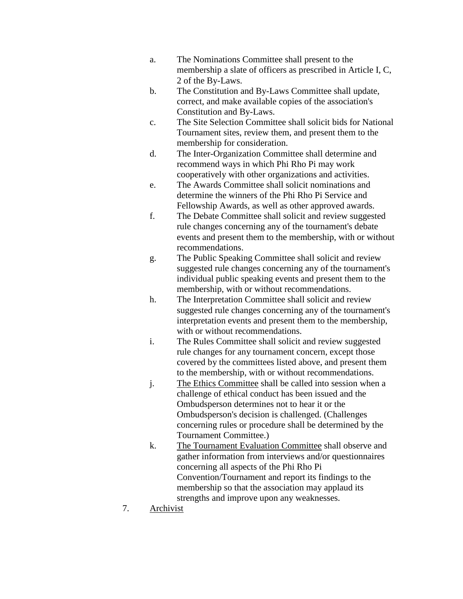- a. The Nominations Committee shall present to the membership a slate of officers as prescribed in Article I, C, 2 of the By-Laws.
- b. The Constitution and By-Laws Committee shall update, correct, and make available copies of the association's Constitution and By-Laws.
- c. The Site Selection Committee shall solicit bids for National Tournament sites, review them, and present them to the membership for consideration.
- d. The Inter-Organization Committee shall determine and recommend ways in which Phi Rho Pi may work cooperatively with other organizations and activities.
- e. The Awards Committee shall solicit nominations and determine the winners of the Phi Rho Pi Service and Fellowship Awards, as well as other approved awards.
- f. The Debate Committee shall solicit and review suggested rule changes concerning any of the tournament's debate events and present them to the membership, with or without recommendations.
- g. The Public Speaking Committee shall solicit and review suggested rule changes concerning any of the tournament's individual public speaking events and present them to the membership, with or without recommendations.
- h. The Interpretation Committee shall solicit and review suggested rule changes concerning any of the tournament's interpretation events and present them to the membership, with or without recommendations.
- i. The Rules Committee shall solicit and review suggested rule changes for any tournament concern, except those covered by the committees listed above, and present them to the membership, with or without recommendations.
- j. The Ethics Committee shall be called into session when a challenge of ethical conduct has been issued and the Ombudsperson determines not to hear it or the Ombudsperson's decision is challenged. (Challenges concerning rules or procedure shall be determined by the Tournament Committee.)
- k. The Tournament Evaluation Committee shall observe and gather information from interviews and/or questionnaires concerning all aspects of the Phi Rho Pi Convention/Tournament and report its findings to the membership so that the association may applaud its strengths and improve upon any weaknesses.
- 7. Archivist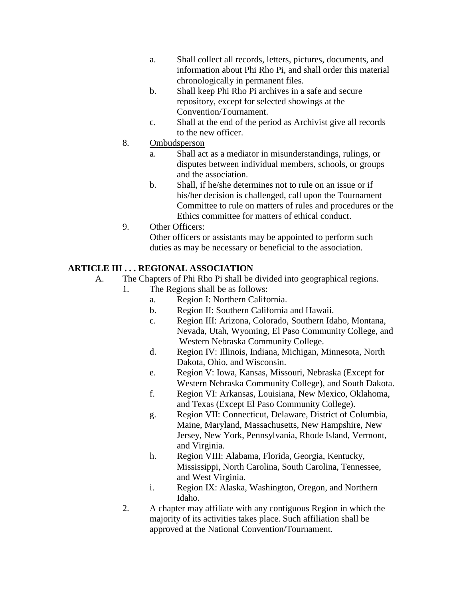- a. Shall collect all records, letters, pictures, documents, and information about Phi Rho Pi, and shall order this material chronologically in permanent files.
- b. Shall keep Phi Rho Pi archives in a safe and secure repository, except for selected showings at the Convention/Tournament.
- c. Shall at the end of the period as Archivist give all records to the new officer.
- 8. Ombudsperson
	- a. Shall act as a mediator in misunderstandings, rulings, or disputes between individual members, schools, or groups and the association.
	- b. Shall, if he/she determines not to rule on an issue or if his/her decision is challenged, call upon the Tournament Committee to rule on matters of rules and procedures or the Ethics committee for matters of ethical conduct.
- 9. Other Officers:

Other officers or assistants may be appointed to perform such duties as may be necessary or beneficial to the association.

# **ARTICLE III . . . REGIONAL ASSOCIATION**

- A. The Chapters of Phi Rho Pi shall be divided into geographical regions.
	- 1. The Regions shall be as follows:
		- a. Region I: Northern California.
		- b. Region II: Southern California and Hawaii.
		- c. Region III: Arizona, Colorado, Southern Idaho, Montana, Nevada, Utah, Wyoming, El Paso Community College, and Western Nebraska Community College.
		- d. Region IV: Illinois, Indiana, Michigan, Minnesota, North Dakota, Ohio, and Wisconsin.
		- e. Region V: Iowa, Kansas, Missouri, Nebraska (Except for Western Nebraska Community College), and South Dakota.
		- f. Region VI: Arkansas, Louisiana, New Mexico, Oklahoma, and Texas (Except El Paso Community College).
		- g. Region VII: Connecticut, Delaware, District of Columbia, Maine, Maryland, Massachusetts, New Hampshire, New Jersey, New York, Pennsylvania, Rhode Island, Vermont, and Virginia.
		- h. Region VIII: Alabama, Florida, Georgia, Kentucky, Mississippi, North Carolina, South Carolina, Tennessee, and West Virginia.
		- i. Region IX: Alaska, Washington, Oregon, and Northern Idaho.
	- 2. A chapter may affiliate with any contiguous Region in which the majority of its activities takes place. Such affiliation shall be approved at the National Convention/Tournament.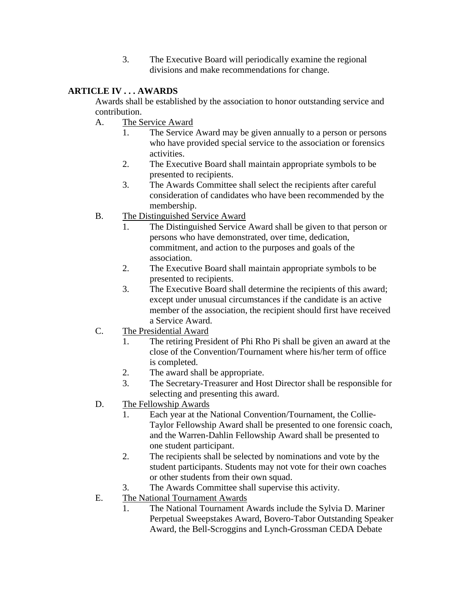3. The Executive Board will periodically examine the regional divisions and make recommendations for change.

## **ARTICLE IV . . . AWARDS**

Awards shall be established by the association to honor outstanding service and contribution.

- A. The Service Award
	- 1. The Service Award may be given annually to a person or persons who have provided special service to the association or forensics activities.
	- 2. The Executive Board shall maintain appropriate symbols to be presented to recipients.
	- 3. The Awards Committee shall select the recipients after careful consideration of candidates who have been recommended by the membership.
- B. The Distinguished Service Award
	- 1. The Distinguished Service Award shall be given to that person or persons who have demonstrated, over time, dedication, commitment, and action to the purposes and goals of the association.
	- 2. The Executive Board shall maintain appropriate symbols to be presented to recipients.
	- 3. The Executive Board shall determine the recipients of this award; except under unusual circumstances if the candidate is an active member of the association, the recipient should first have received a Service Award.
- C. The Presidential Award
	- 1. The retiring President of Phi Rho Pi shall be given an award at the close of the Convention/Tournament where his/her term of office is completed.
	- 2. The award shall be appropriate.
	- 3. The Secretary-Treasurer and Host Director shall be responsible for selecting and presenting this award.
- D. The Fellowship Awards
	- 1. Each year at the National Convention/Tournament, the Collie-Taylor Fellowship Award shall be presented to one forensic coach, and the Warren-Dahlin Fellowship Award shall be presented to one student participant.
	- 2. The recipients shall be selected by nominations and vote by the student participants. Students may not vote for their own coaches or other students from their own squad.
	- 3. The Awards Committee shall supervise this activity.
- E. The National Tournament Awards
	- 1. The National Tournament Awards include the Sylvia D. Mariner Perpetual Sweepstakes Award, Bovero-Tabor Outstanding Speaker Award, the Bell-Scroggins and Lynch-Grossman CEDA Debate